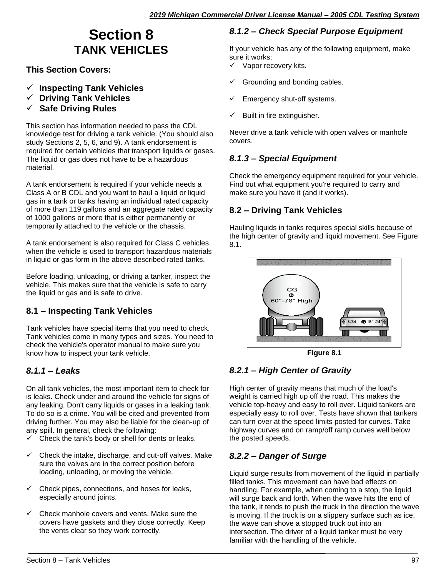# **Section 8 TANK VEHICLES**

#### **This Section Covers:**

- ✓ **Inspecting Tank Vehicles**
- ✓ **Driving Tank Vehicles**
- ✓ **Safe Driving Rules**

This section has information needed to pass the CDL knowledge test for driving a tank vehicle. (You should also study Sections 2, 5, 6, and 9). A tank endorsement is required for certain vehicles that transport liquids or gases. The liquid or gas does not have to be a hazardous material.

A tank endorsement is required if your vehicle needs a Class A or B CDL and you want to haul a liquid or liquid gas in a tank or tanks having an individual rated capacity of more than 119 gallons and an aggregate rated capacity of 1000 gallons or more that is either permanently or temporarily attached to the vehicle or the chassis.

A tank endorsement is also required for Class C vehicles when the vehicle is used to transport hazardous materials in liquid or gas form in the above described rated tanks.

Before loading, unloading, or driving a tanker, inspect the vehicle. This makes sure that the vehicle is safe to carry the liquid or gas and is safe to drive.

#### **8.1 – Inspecting Tank Vehicles**

Tank vehicles have special items that you need to check. Tank vehicles come in many types and sizes. You need to check the vehicle's operator manual to make sure you know how to inspect your tank vehicle.

## *8.1.1 – Leaks*

On all tank vehicles, the most important item to check for is leaks. Check under and around the vehicle for signs of any leaking. Don't carry liquids or gases in a leaking tank. To do so is a crime. You will be cited and prevented from driving further. You may also be liable for the clean-up of any spill. In general, check the following:

- $\checkmark$  Check the tank's body or shell for dents or leaks.
- Check the intake, discharge, and cut-off valves. Make sure the valves are in the correct position before loading, unloading, or moving the vehicle.
- $\checkmark$  Check pipes, connections, and hoses for leaks, especially around joints.
- $\checkmark$  Check manhole covers and vents. Make sure the covers have gaskets and they close correctly. Keep the vents clear so they work correctly.

# *8.1.2 – Check Special Purpose Equipment*

If your vehicle has any of the following equipment, make sure it works:

- ✓ Vapor recovery kits.
- Grounding and bonding cables.
- Emergency shut-off systems.
- Built in fire extinguisher.

Never drive a tank vehicle with open valves or manhole covers.

# *8.1.3 – Special Equipment*

Check the emergency equipment required for your vehicle. Find out what equipment you're required to carry and make sure you have it (and it works).

#### **8.2 – Driving Tank Vehicles**

Hauling liquids in tanks requires special skills because of the high center of gravity and liquid movement. See Figure 8.1.



**Figure 8.1**

## *8.2.1 – High Center of Gravity*

High center of gravity means that much of the load's weight is carried high up off the road. This makes the vehicle top-heavy and easy to roll over. Liquid tankers are especially easy to roll over. Tests have shown that tankers can turn over at the speed limits posted for curves. Take highway curves and on ramp/off ramp curves well below the posted speeds.

## *8.2.2 – Danger of Surge*

Liquid surge results from movement of the liquid in partially filled tanks. This movement can have bad effects on handling. For example, when coming to a stop, the liquid will surge back and forth. When the wave hits the end of the tank, it tends to push the truck in the direction the wave is moving. If the truck is on a slippery surface such as ice, the wave can shove a stopped truck out into an intersection. The driver of a liquid tanker must be very familiar with the handling of the vehicle.